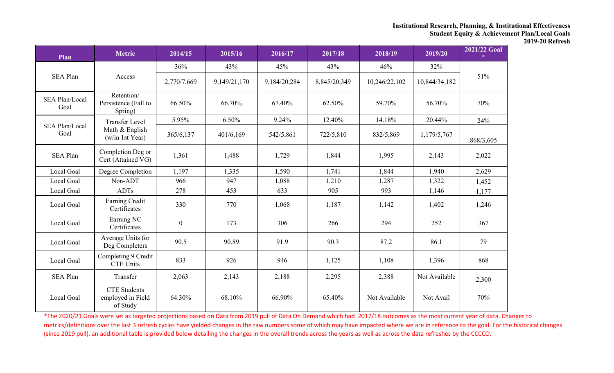| Plan                          | <b>Metric</b>                                        | 2014/15          | 2015/16      | 2016/17      | 2017/18      | 2018/19       | 2019/20       | 2021/22 Goal<br>$\mathcal{R}^{\mathcal{L}}$ |
|-------------------------------|------------------------------------------------------|------------------|--------------|--------------|--------------|---------------|---------------|---------------------------------------------|
|                               |                                                      | 36%              | 43%          | 45%          | 43%          | 46%           | 32%           |                                             |
| <b>SEA Plan</b>               | Access                                               | 2,770/7,669      | 9,149/21,170 | 9,184/20,284 | 8,845/20,349 | 10,246/22,102 | 10,844/34,182 | 51%                                         |
| <b>SEA Plan/Local</b><br>Goal | Retention/<br>Persistence (Fall to<br>Spring)        | 66.50%           | 66.70%       | 67.40%       | 62.50%       | 59.70%        | 56.70%        | 70%                                         |
| <b>SEA Plan/Local</b>         | <b>Transfer Level</b>                                | 5.95%            | 6.50%        | 9.24%        | 12.40%       | 14.18%        | 20.44%        | 24%                                         |
| Goal                          | Math & English<br>(w/in 1st Year)                    | 365/6,137        | 401/6,169    | 542/5,861    | 722/5,810    | 832/5,869     | 1,179/5,767   | 868/3,605                                   |
| <b>SEA Plan</b>               | Completion Deg or<br>Cert (Attained VG)              | 1,361            | 1,488        | 1,729        | 1,844        | 1,995         | 2,143         | 2,022                                       |
| Local Goal                    | Degree Completion                                    | 1,197            | 1,335        | 1,590        | 1,741        | 1,844         | 1,940         | 2,629                                       |
| Local Goal                    | Non-ADT                                              | 966              | 947          | 1,088        | 1,210        | 1,287         | 1,322         | 1,452                                       |
| Local Goal                    | <b>ADTs</b>                                          | 278              | 453          | 633          | 905          | 993           | 1,146         | 1,177                                       |
| Local Goal                    | Earning Credit<br>Certificates                       | 330              | 770          | 1,068        | 1,187        | 1,142         | 1,402         | 1,246                                       |
| Local Goal                    | Earning NC<br>Certificates                           | $\boldsymbol{0}$ | 173          | 306          | 266          | 294           | 252           | 367                                         |
| Local Goal                    | Average Units for<br>Deg Completers                  | 90.5             | 90.89        | 91.9         | 90.3         | 87.2          | 86.1          | 79                                          |
| Local Goal                    | Completing 9 Credit<br><b>CTE Units</b>              | 833              | 926          | 946          | 1,125        | 1,108         | 1,396         | 868                                         |
| <b>SEA Plan</b>               | Transfer                                             | 2,063            | 2,143        | 2,188        | 2,295        | 2,388         | Not Available | 2,300                                       |
| Local Goal                    | <b>CTE</b> Students<br>employed in Field<br>of Study | 64.30%           | 68.10%       | 66.90%       | 65.40%       | Not Available | Not Avail     | 70%                                         |

\*The 2020/21 Goals were set as targeted projections based on Data from 2019 pull of Data On Demand which had 2017/18 outcomes as the most current year of data. Changes to metrics/definitions over the last 3 refresh cycles have yielded changes in the raw numbers some of which may have impacted where we are in reference to the goal. For the historical changes (since 2019 pull), an additional table is provided below detailing the changes in the overall trends across the years as well as across the data refreshes by the CCCCO.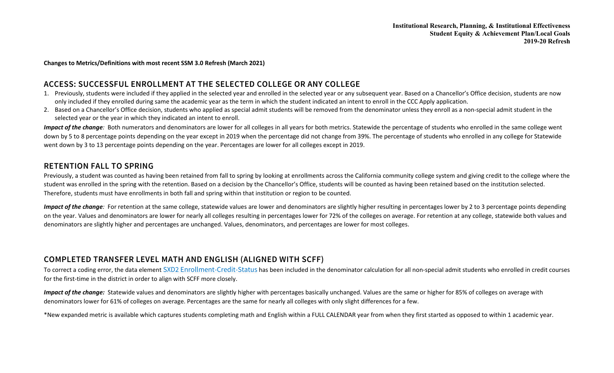**Changes to Metrics/Definitions with most recent SSM 3.0 Refresh (March 2021)**

## **ACCESS: SUCCESSFUL ENROLLMENT AT THE SELECTED COLLEGE OR ANY COLLEGE**

- 1. Previously, students were included if they applied in the selected year and enrolled in the selected year or any subsequent year. Based on a Chancellor's Office decision, students are now only included if they enrolled during same the academic year as the term in which the student indicated an intent to enroll in the CCC Apply application.
- 2. Based on a Chancellor's Office decision, students who applied as special admit students will be removed from the denominator unless they enroll as a non-special admit student in the selected year or the year in which they indicated an intent to enroll.

*Impact of the change*: Both numerators and denominators are lower for all colleges in all years for both metrics. Statewide the percentage of students who enrolled in the same college went down by 5 to 8 percentage points depending on the year except in 2019 when the percentage did not change from 39%. The percentage of students who enrolled in any college for Statewide went down by 3 to 13 percentage points depending on the year. Percentages are lower for all colleges except in 2019.

### **RETENTION FALL TO SPRING**

Previously, a student was counted as having been retained from fall to spring by looking at enrollments across the California community college system and giving credit to the college where the student was enrolled in the spring with the retention. Based on a decision by the Chancellor's Office, students will be counted as having been retained based on the institution selected. Therefore, students must have enrollments in both fall and spring within that institution or region to be counted.

*Impact of the change*: For retention at the same college, statewide values are lower and denominators are slightly higher resulting in percentages lower by 2 to 3 percentage points depending on the year. Values and denominators are lower for nearly all colleges resulting in percentages lower for 72% of the colleges on average. For retention at any college, statewide both values and denominators are slightly higher and percentages are unchanged. Values, denominators, and percentages are lower for most colleges.

### **COMPLETED TRANSFER LEVEL MATH AND ENGLISH (ALIGNED WITH SCFF)**

To correct a coding error, the data element [SXD2 Enrollment-Credit-Status](https://webdata.cccco.edu/ded/sxd/sxd2.pdf) has been included in the denominator calculation for all non-special admit students who enrolled in credit courses for the first-time in the district in order to align with SCFF more closely.

*Impact of the change:* Statewide values and denominators are slightly higher with percentages basically unchanged. Values are the same or higher for 85% of colleges on average with denominators lower for 61% of colleges on average. Percentages are the same for nearly all colleges with only slight differences for a few.

\*New expanded metric is available which captures students completing math and English within a FULL CALENDAR year from when they first started as opposed to within 1 academic year.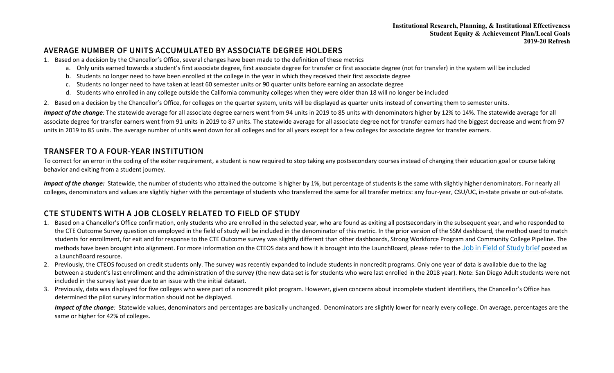## **AVERAGE NUMBER OF UNITS ACCUMULATED BY ASSOCIATE DEGREE HOLDERS**

- 1. Based on a decision by the Chancellor's Office, several changes have been made to the definition of these metrics
	- a. Only units earned towards a student's first associate degree, first associate degree for transfer or first associate degree (not for transfer) in the system will be included
	- b. Students no longer need to have been enrolled at the college in the year in which they received their first associate degree
	- c. Students no longer need to have taken at least 60 semester units or 90 quarter units before earning an associate degree
	- d. Students who enrolled in any college outside the California community colleges when they were older than 18 will no longer be included
- 2. Based on a decision by the Chancellor's Office, for colleges on the quarter system, units will be displayed as quarter units instead of converting them to semester units.

*Impact of the change*: The statewide average for all associate degree earners went from 94 units in 2019 to 85 units with denominators higher by 12% to 14%. The statewide average for all associate degree for transfer earners went from 91 units in 2019 to 87 units. The statewide average for all associate degree not for transfer earners had the biggest decrease and went from 97 units in 2019 to 85 units. The average number of units went down for all colleges and for all years except for a few colleges for associate degree for transfer earners.

## **TRANSFER TO A FOUR-YEAR INSTITUTION**

To correct for an error in the coding of the exiter requirement, a student is now required to stop taking any postsecondary courses instead of changing their education goal or course taking behavior and exiting from a student journey.

Impact of the change: Statewide, the number of students who attained the outcome is higher by 1%, but percentage of students is the same with slightly higher denominators. For nearly all colleges, denominators and values are slightly higher with the percentage of students who transferred the same for all transfer metrics: any four-year, CSU/UC, in-state private or out-of-state.

# **CTE STUDENTS WITH A JOB CLOSELY RELATED TO FIELD OF STUDY**

- 1. Based on a Chancellor's Office confirmation, only students who are enrolled in the selected year, who are found as exiting all postsecondary in the subsequent year, and who responded to the CTE Outcome Survey question on employed in the field of study will be included in the denominator of this metric. In the prior version of the SSM dashboard, the method used to match students for enrollment, for exit and for response to the CTE Outcome survey was slightly different than other dashboards, Strong Workforce Program and Community College Pipeline. The methods have been brought into alignment. For more information on the CTEOS data and how it is brought into the LaunchBoard, please refer to the [Job in Field of Study brief](https://drive.google.com/file/d/1tMV5snYF3qiE_0EFa10hs3DFbSHhRJ7Y/view?usp=sharing) posted as a LaunchBoard resource.
- 2. Previously, the CTEOS focused on credit students only. The survey was recently expanded to include students in noncredit programs. Only one year of data is available due to the lag between a student's last enrollment and the administration of the survey (the new data set is for students who were last enrolled in the 2018 year). Note: San Diego Adult students were not included in the survey last year due to an issue with the initial dataset.
- 3. Previously, data was displayed for five colleges who were part of a noncredit pilot program. However, given concerns about incomplete student identifiers, the Chancellor's Office has determined the pilot survey information should not be displayed.

*Impact of the change*: Statewide values, denominators and percentages are basically unchanged. Denominators are slightly lower for nearly every college. On average, percentages are the same or higher for 42% of colleges.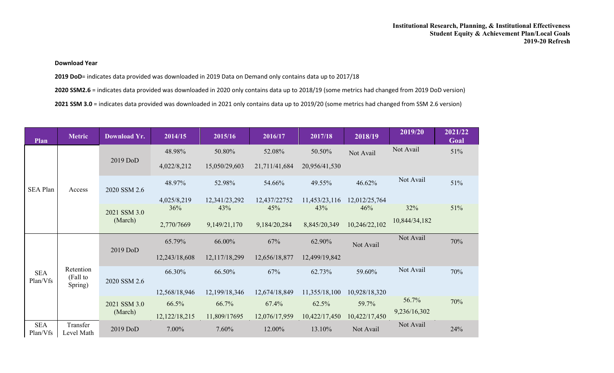#### **Download Year**

**2019 DoD**= indicates data provided was downloaded in 2019 Data on Demand only contains data up to 2017/18

**2020 SSM2.6** = indicates data provided was downloaded in 2020 only contains data up to 2018/19 (some metrics had changed from 2019 DoD version)

**2021 SSM 3.0** = indicates data provided was downloaded in 2021 only contains data up to 2019/20 (some metrics had changed from SSM 2.6 version)

| Plan                   | <b>Metric</b>                    | <b>Download Yr.</b>     | 2014/15       | 2015/16       | 2016/17       | 2017/18       | 2018/19       | 2019/20       | 2021/22<br>Goal |
|------------------------|----------------------------------|-------------------------|---------------|---------------|---------------|---------------|---------------|---------------|-----------------|
| <b>SEA Plan</b>        | Access                           | 2019 DoD                | 48.98%        | 50.80%        | 52.08%        | 50.50%        | Not Avail     | Not Avail     | 51%             |
|                        |                                  |                         | 4,022/8,212   | 15,050/29,603 | 21,711/41,684 | 20,956/41,530 |               |               |                 |
|                        |                                  | 2020 SSM 2.6            | 48.97%        | 52.98%        | 54.66%        | 49.55%        | 46.62%        | Not Avail     | 51%             |
|                        |                                  |                         | 4,025/8,219   | 12,341/23,292 | 12,437/22752  | 11,453/23,116 | 12,012/25,764 |               |                 |
|                        |                                  | 2021 SSM 3.0<br>(March) | 36%           | 43%           | 45%           | 43%           | 46%           | 32%           | 51%             |
|                        |                                  |                         | 2,770/7669    | 9,149/21,170  | 9,184/20,284  | 8,845/20,349  | 10,246/22,102 | 10,844/34,182 |                 |
| <b>SEA</b><br>Plan/Vfs | Retention<br>(Fall to<br>Spring) | 2019 DoD                | 65.79%        | 66.00%        | 67%           | 62.90%        | Not Avail     | Not Avail     | 70%             |
|                        |                                  |                         | 12,243/18,608 | 12,117/18,299 | 12,656/18,877 | 12,499/19,842 |               |               |                 |
|                        |                                  | 2020 SSM 2.6            | 66.30%        | 66.50%        | 67%           | 62.73%        | 59.60%        | Not Avail     | 70%             |
|                        |                                  |                         | 12,568/18,946 | 12,199/18,346 | 12,674/18,849 | 11,355/18,100 | 10,928/18,320 |               |                 |
|                        |                                  | 2021 SSM 3.0<br>(March) | 66.5%         | 66.7%         | 67.4%         | 62.5%         | 59.7%         | 56.7%         | 70%             |
|                        |                                  |                         | 12,122/18,215 | 11,809/17695  | 12,076/17,959 | 10,422/17,450 | 10,422/17,450 | 9,236/16,302  |                 |
| <b>SEA</b><br>Plan/Vfs | Transfer<br>Level Math           | 2019 DoD                | 7.00%         | 7.60%         | 12.00%        | 13.10%        | Not Avail     | Not Avail     | 24%             |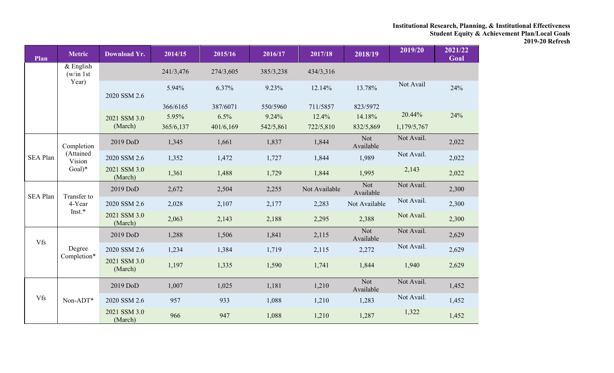| Plan            | <b>Metric</b>                                 | <b>Download Yr.</b>     | 2014/15   | 2015/16   | 2016/17   | 2017/18       | 2018/19                 | 2019/20     | 2021/22<br>Goal |
|-----------------|-----------------------------------------------|-------------------------|-----------|-----------|-----------|---------------|-------------------------|-------------|-----------------|
|                 | $&$ English<br>(w/in 1st)<br>Year)            |                         | 241/3,476 | 274/3,605 | 385/3,238 | 434/3,316     |                         |             |                 |
|                 |                                               | 2020 SSM 2.6            | 5.94%     | 6.37%     | 9.23%     | 12.14%        | 13.78%                  | Not Avail   | 24%             |
|                 |                                               |                         | 366/6165  | 387/6071  | 550/5960  | 711/5857      | 823/5972                |             |                 |
|                 |                                               | 2021 SSM 3.0            | 5.95%     | 6.5%      | 9.24%     | 12.4%         | 14.18%                  | 20.44%      | 24%             |
|                 |                                               | (March)                 | 365/6,137 | 401/6,169 | 542/5,861 | 722/5,810     | 832/5,869               | 1,179/5,767 |                 |
|                 | Completion<br>(Attained<br>Vision<br>$Goal)*$ | 2019 DoD                | 1,345     | 1,661     | 1,837     | 1,844         | <b>Not</b><br>Available | Not Avail.  | 2,022           |
| <b>SEA Plan</b> |                                               | 2020 SSM 2.6            | 1,352     | 1,472     | 1,727     | 1,844         | 1,989                   | Not Avail.  | 2,022           |
|                 |                                               | 2021 SSM 3.0<br>(March) | 1,361     | 1,488     | 1,729     | 1,844         | 1,995                   | 2,143       | 2,022           |
| <b>SEA Plan</b> | Transfer to<br>4-Year<br>Inst.*               | 2019 DoD                | 2,672     | 2,504     | 2,255     | Not Available | <b>Not</b><br>Available | Not Avail.  | 2,300           |
|                 |                                               | 2020 SSM 2.6            | 2,028     | 2,107     | 2,177     | 2,283         | Not Available           | Not Avail.  | 2,300           |
|                 |                                               | 2021 SSM 3.0<br>(March) | 2,063     | 2,143     | 2,188     | 2,295         | 2,388                   | Not Avail.  | 2,300           |
| <b>Vfs</b>      | Degree<br>Completion*                         | 2019 DoD                | 1,288     | 1,506     | 1,841     | 2,115         | <b>Not</b><br>Available | Not Avail.  | 2,629           |
|                 |                                               | 2020 SSM 2.6            | 1,234     | 1,384     | 1,719     | 2,115         | 2,272                   | Not Avail.  | 2,629           |
|                 |                                               | 2021 SSM 3.0<br>(March) | 1,197     | 1,335     | 1,590     | 1,741         | 1,844                   | 1,940       | 2,629           |
|                 |                                               | 2019 DoD                | 1,007     | 1,025     | 1,181     | 1,210         | <b>Not</b><br>Available | Not Avail.  | 1,452           |
| <b>Vfs</b>      | Non-ADT*                                      | 2020 SSM 2.6            | 957       | 933       | 1,088     | 1,210         | 1,283                   | Not Avail.  | 1,452           |
|                 |                                               | 2021 SSM 3.0<br>(March) | 966       | 947       | 1,088     | 1,210         | 1,287                   | 1,322       | 1,452           |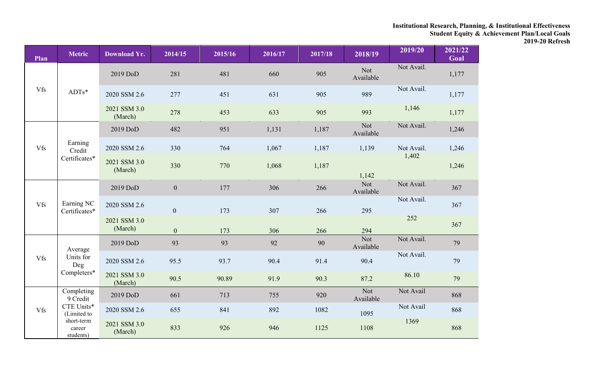| Plan       | <b>Metric</b>                     | <b>Download Yr.</b>     | 2014/15        | 2015/16 | 2016/17 | 2017/18 | 2018/19                 | 2019/20    | 2021/22<br>Goal |
|------------|-----------------------------------|-------------------------|----------------|---------|---------|---------|-------------------------|------------|-----------------|
|            |                                   | 2019 DoD                | 281            | 481     | 660     | 905     | <b>Not</b><br>Available | Not Avail. | 1,177           |
| <b>Vfs</b> | $ADTs*$                           | 2020 SSM 2.6            | 277            | 451     | 631     | 905     | 989                     | Not Avail. | 1,177           |
|            |                                   | 2021 SSM 3.0<br>(March) | 278            | 453     | 633     | 905     | 993                     | 1,146      | 1,177           |
|            |                                   | 2019 DoD                | 482            | 951     | 1,131   | 1,187   | <b>Not</b><br>Available | Not Avail. | 1,246           |
| <b>Vfs</b> | Earning<br>Credit                 | 2020 SSM 2.6            | 330            | 764     | 1,067   | 1,187   | 1,139                   | Not Avail. | 1,246           |
|            | Certificates*                     | 2021 SSM 3.0<br>(March) | 330            | 770     | 1,068   | 1,187   | 1,142                   | 1,402      | 1,246           |
|            | Earning NC<br>Certificates*       | 2019 DoD                | $\overline{0}$ | 177     | 306     | 266     | Not<br>Available        | Not Avail. | 367             |
| Vfs        |                                   | 2020 SSM 2.6            | $\mathbf{0}$   | 173     | 307     | 266     | 295                     | Not Avail. | 367             |
|            |                                   | 2021 SSM 3.0<br>(March) | $\mathbf{0}$   | 173     | 306     | 266     | 294                     | 252        | 367             |
|            | Average                           | 2019 DoD                | 93             | 93      | 92      | 90      | <b>Not</b><br>Available | Not Avail. | 79              |
| <b>Vfs</b> | Units for<br>Deg                  | 2020 SSM 2.6            | 95.5           | 93.7    | 90.4    | 91.4    | 90.4                    | Not Avail. | 79              |
|            | Completers*                       | 2021 SSM 3.0<br>(March) | 90.5           | 90.89   | 91.9    | 90.3    | 87.2                    | 86.10      | 79              |
|            | Completing<br>9 Credit            | 2019 DoD                | 661            | 713     | 755     | 920     | <b>Not</b><br>Available | Not Avail  | 868             |
| Vfs        | CTE Units*<br>(Limited to         | 2020 SSM 2.6            | 655            | 841     | 892     | 1082    | 1095                    | Not Avail  | 868             |
|            | short-term<br>career<br>students) | 2021 SSM 3.0<br>(March) | 833            | 926     | 946     | 1125    | 1108                    | 1369       | 868             |